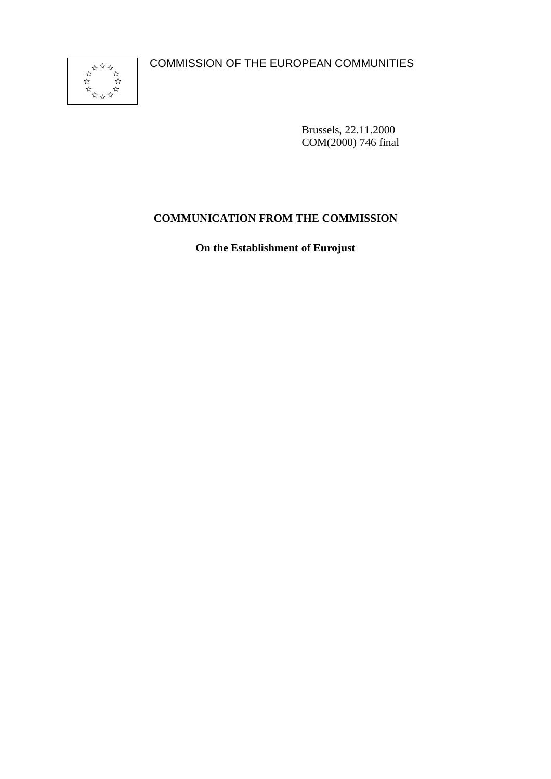COMMISSION OF THE EUROPEAN COMMUNITIES



Brussels, 22.11.2000 COM(2000) 746 final

# **COMMUNICATION FROM THE COMMISSION**

**On the Establishment of Eurojust**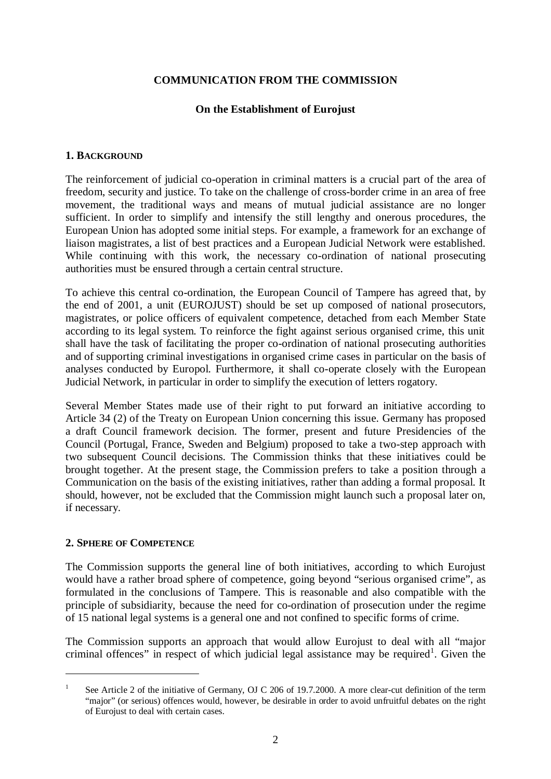## **COMMUNICATION FROM THE COMMISSION**

#### **On the Establishment of Eurojust**

#### **1. BACKGROUND**

The reinforcement of judicial co-operation in criminal matters is a crucial part of the area of freedom, security and justice. To take on the challenge of cross-border crime in an area of free movement, the traditional ways and means of mutual judicial assistance are no longer sufficient. In order to simplify and intensify the still lengthy and onerous procedures, the European Union has adopted some initial steps. For example, a framework for an exchange of liaison magistrates, a list of best practices and a European Judicial Network were established. While continuing with this work, the necessary co-ordination of national prosecuting authorities must be ensured through a certain central structure.

To achieve this central co-ordination, the European Council of Tampere has agreed that, by the end of 2001, a unit (EUROJUST) should be set up composed of national prosecutors, magistrates, or police officers of equivalent competence, detached from each Member State according to its legal system. To reinforce the fight against serious organised crime, this unit shall have the task of facilitating the proper co-ordination of national prosecuting authorities and of supporting criminal investigations in organised crime cases in particular on the basis of analyses conducted by Europol. Furthermore, it shall co-operate closely with the European Judicial Network, in particular in order to simplify the execution of letters rogatory.

Several Member States made use of their right to put forward an initiative according to Article 34 (2) of the Treaty on European Union concerning this issue. Germany has proposed a draft Council framework decision. The former, present and future Presidencies of the Council (Portugal, France, Sweden and Belgium) proposed to take a two-step approach with two subsequent Council decisions. The Commission thinks that these initiatives could be brought together. At the present stage, the Commission prefers to take a position through a Communication on the basis of the existing initiatives, rather than adding a formal proposal. It should, however, not be excluded that the Commission might launch such a proposal later on, if necessary.

#### **2. SPHERE OF COMPETENCE**

The Commission supports the general line of both initiatives, according to which Eurojust would have a rather broad sphere of competence, going beyond "serious organised crime", as formulated in the conclusions of Tampere. This is reasonable and also compatible with the principle of subsidiarity, because the need for co-ordination of prosecution under the regime of 15 national legal systems is a general one and not confined to specific forms of crime.

The Commission supports an approach that would allow Eurojust to deal with all "major criminal offences" in respect of which judicial legal assistance may be required<sup>1</sup>. Given the

<sup>&</sup>lt;sup>1</sup> See Article 2 of the initiative of Germany, OJ C 206 of 19.7.2000. A more clear-cut definition of the term "major" (or serious) offences would, however, be desirable in order to avoid unfruitful debates on the right of Eurojust to deal with certain cases.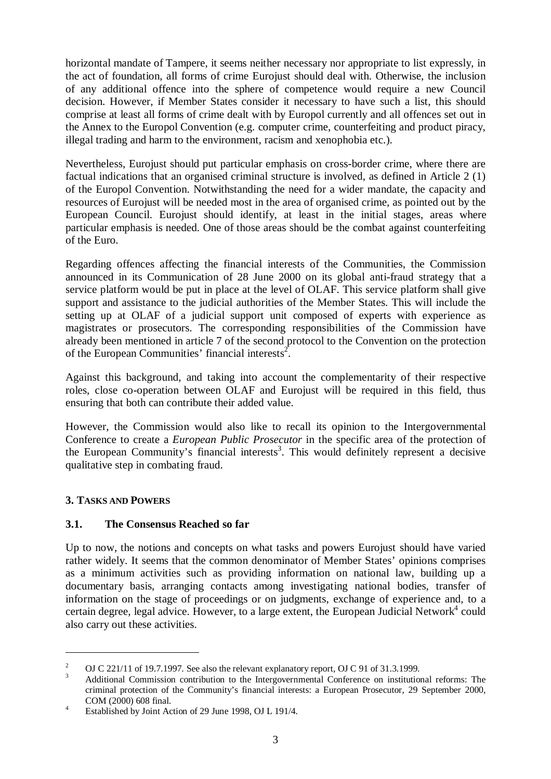horizontal mandate of Tampere, it seems neither necessary nor appropriate to list expressly, in the act of foundation, all forms of crime Eurojust should deal with. Otherwise, the inclusion of any additional offence into the sphere of competence would require a new Council decision. However, if Member States consider it necessary to have such a list, this should comprise at least all forms of crime dealt with by Europol currently and all offences set out in the Annex to the Europol Convention (e.g. computer crime, counterfeiting and product piracy, illegal trading and harm to the environment, racism and xenophobia etc.).

Nevertheless, Eurojust should put particular emphasis on cross-border crime, where there are factual indications that an organised criminal structure is involved, as defined in Article 2 (1) of the Europol Convention. Notwithstanding the need for a wider mandate, the capacity and resources of Eurojust will be needed most in the area of organised crime, as pointed out by the European Council. Eurojust should identify, at least in the initial stages, areas where particular emphasis is needed. One of those areas should be the combat against counterfeiting of the Euro.

Regarding offences affecting the financial interests of the Communities, the Commission announced in its Communication of 28 June 2000 on its global anti-fraud strategy that a service platform would be put in place at the level of OLAF. This service platform shall give support and assistance to the judicial authorities of the Member States. This will include the setting up at OLAF of a judicial support unit composed of experts with experience as magistrates or prosecutors. The corresponding responsibilities of the Commission have already been mentioned in article 7 of the second protocol to the Convention on the protection of the European Communities' financial interests<sup>2</sup>.

Against this background, and taking into account the complementarity of their respective roles, close co-operation between OLAF and Eurojust will be required in this field, thus ensuring that both can contribute their added value.

However, the Commission would also like to recall its opinion to the Intergovernmental Conference to create a *European Public Prosecutor* in the specific area of the protection of the European Community's financial interests<sup>3</sup>. This would definitely represent a decisive qualitative step in combating fraud.

# **3. TASKS AND POWERS**

#### **3.1. The Consensus Reached so far**

Up to now, the notions and concepts on what tasks and powers Eurojust should have varied rather widely. It seems that the common denominator of Member States' opinions comprises as a minimum activities such as providing information on national law, building up a documentary basis, arranging contacts among investigating national bodies, transfer of information on the stage of proceedings or on judgments, exchange of experience and, to a certain degree, legal advice. However, to a large extent, the European Judicial Network<sup>4</sup> could also carry out these activities.

<sup>&</sup>lt;sup>2</sup> OJ C 221/11 of 19.7.1997. See also the relevant explanatory report, OJ C 91 of 31.3.1999.<br><sup>3</sup> Additional Commission contribution to the Intergovernmental Conference on institutional reforms: The criminal protection of the Community's financial interests: a European Prosecutor, 29 September 2000, COM (2000) 608 final. <sup>4</sup> Established by Joint Action of 29 June 1998, OJ L 191/4.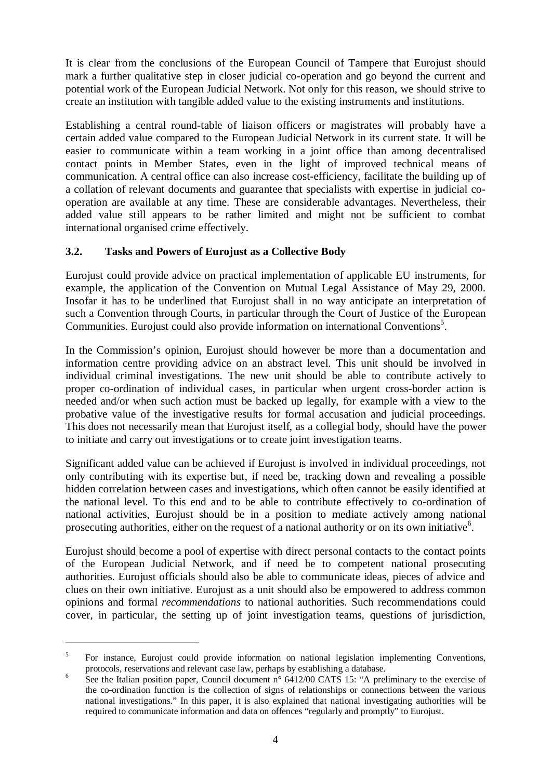It is clear from the conclusions of the European Council of Tampere that Eurojust should mark a further qualitative step in closer judicial co-operation and go beyond the current and potential work of the European Judicial Network. Not only for this reason, we should strive to create an institution with tangible added value to the existing instruments and institutions.

Establishing a central round-table of liaison officers or magistrates will probably have a certain added value compared to the European Judicial Network in its current state. It will be easier to communicate within a team working in a joint office than among decentralised contact points in Member States, even in the light of improved technical means of communication. A central office can also increase cost-efficiency, facilitate the building up of a collation of relevant documents and guarantee that specialists with expertise in judicial cooperation are available at any time. These are considerable advantages. Nevertheless, their added value still appears to be rather limited and might not be sufficient to combat international organised crime effectively.

## **3.2. Tasks and Powers of Eurojust as a Collective Body**

Eurojust could provide advice on practical implementation of applicable EU instruments, for example, the application of the Convention on Mutual Legal Assistance of May 29, 2000. Insofar it has to be underlined that Eurojust shall in no way anticipate an interpretation of such a Convention through Courts, in particular through the Court of Justice of the European Communities. Eurojust could also provide information on international Conventions<sup>5</sup>.

In the Commission's opinion, Eurojust should however be more than a documentation and information centre providing advice on an abstract level. This unit should be involved in individual criminal investigations. The new unit should be able to contribute actively to proper co-ordination of individual cases, in particular when urgent cross-border action is needed and/or when such action must be backed up legally, for example with a view to the probative value of the investigative results for formal accusation and judicial proceedings. This does not necessarily mean that Eurojust itself, as a collegial body, should have the power to initiate and carry out investigations or to create joint investigation teams.

Significant added value can be achieved if Eurojust is involved in individual proceedings, not only contributing with its expertise but, if need be, tracking down and revealing a possible hidden correlation between cases and investigations, which often cannot be easily identified at the national level. To this end and to be able to contribute effectively to co-ordination of national activities, Eurojust should be in a position to mediate actively among national prosecuting authorities, either on the request of a national authority or on its own initiative<sup>6</sup>.

Eurojust should become a pool of expertise with direct personal contacts to the contact points of the European Judicial Network, and if need be to competent national prosecuting authorities. Eurojust officials should also be able to communicate ideas, pieces of advice and clues on their own initiative. Eurojust as a unit should also be empowered to address common opinions and formal *recommendations* to national authorities. Such recommendations could cover, in particular, the setting up of joint investigation teams, questions of jurisdiction,

<sup>&</sup>lt;sup>5</sup> For instance, Eurojust could provide information on national legislation implementing Conventions,

protocols, reservations and relevant case law, perhaps by establishing a database.<br>
See the Italian position paper, Council document n° 6412/00 CATS 15: "A preliminary to the exercise of the co-ordination function is the collection of signs of relationships or connections between the various national investigations." In this paper, it is also explained that national investigating authorities will be required to communicate information and data on offences "regularly and promptly" to Eurojust.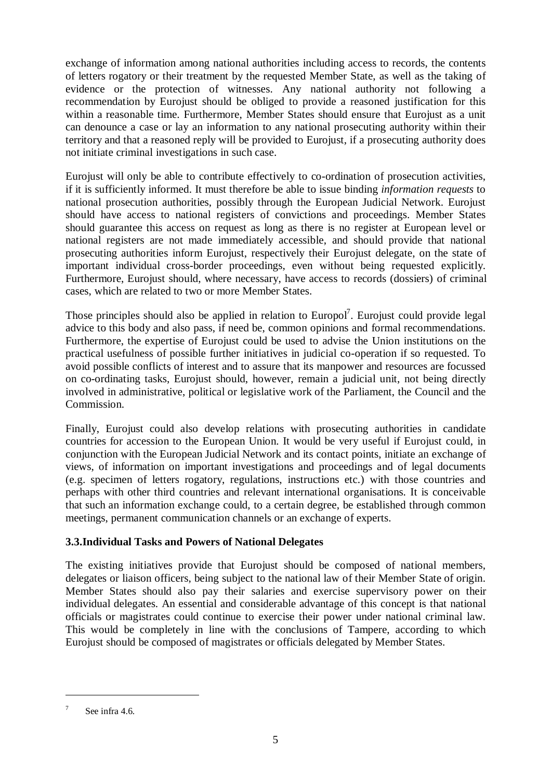exchange of information among national authorities including access to records, the contents of letters rogatory or their treatment by the requested Member State, as well as the taking of evidence or the protection of witnesses. Any national authority not following a recommendation by Eurojust should be obliged to provide a reasoned justification for this within a reasonable time. Furthermore, Member States should ensure that Eurojust as a unit can denounce a case or lay an information to any national prosecuting authority within their territory and that a reasoned reply will be provided to Eurojust, if a prosecuting authority does not initiate criminal investigations in such case.

Eurojust will only be able to contribute effectively to co-ordination of prosecution activities, if it is sufficiently informed. It must therefore be able to issue binding *information requests* to national prosecution authorities, possibly through the European Judicial Network. Eurojust should have access to national registers of convictions and proceedings. Member States should guarantee this access on request as long as there is no register at European level or national registers are not made immediately accessible, and should provide that national prosecuting authorities inform Eurojust, respectively their Eurojust delegate, on the state of important individual cross-border proceedings, even without being requested explicitly. Furthermore, Eurojust should, where necessary, have access to records (dossiers) of criminal cases, which are related to two or more Member States.

Those principles should also be applied in relation to Europol<sup>7</sup>. Eurojust could provide legal advice to this body and also pass, if need be, common opinions and formal recommendations. Furthermore, the expertise of Eurojust could be used to advise the Union institutions on the practical usefulness of possible further initiatives in judicial co-operation if so requested. To avoid possible conflicts of interest and to assure that its manpower and resources are focussed on co-ordinating tasks, Eurojust should, however, remain a judicial unit, not being directly involved in administrative, political or legislative work of the Parliament, the Council and the Commission.

Finally, Eurojust could also develop relations with prosecuting authorities in candidate countries for accession to the European Union. It would be very useful if Eurojust could, in conjunction with the European Judicial Network and its contact points, initiate an exchange of views, of information on important investigations and proceedings and of legal documents (e.g. specimen of letters rogatory, regulations, instructions etc.) with those countries and perhaps with other third countries and relevant international organisations. It is conceivable that such an information exchange could, to a certain degree, be established through common meetings, permanent communication channels or an exchange of experts.

#### **3.3.Individual Tasks and Powers of National Delegates**

The existing initiatives provide that Eurojust should be composed of national members, delegates or liaison officers, being subject to the national law of their Member State of origin. Member States should also pay their salaries and exercise supervisory power on their individual delegates. An essential and considerable advantage of this concept is that national officials or magistrates could continue to exercise their power under national criminal law. This would be completely in line with the conclusions of Tampere, according to which Eurojust should be composed of magistrates or officials delegated by Member States.

See infra 4.6.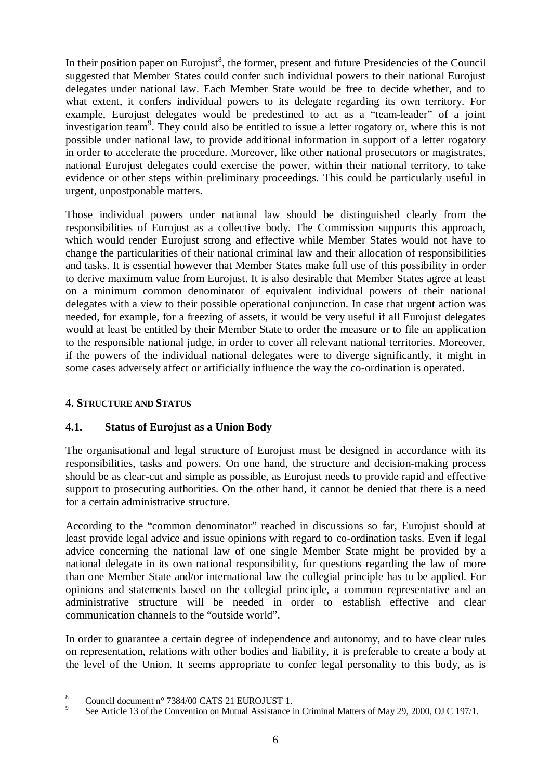In their position paper on Eurojust<sup>8</sup>, the former, present and future Presidencies of the Council suggested that Member States could confer such individual powers to their national Eurojust delegates under national law. Each Member State would be free to decide whether, and to what extent, it confers individual powers to its delegate regarding its own territory. For example, Eurojust delegates would be predestined to act as a "team-leader" of a joint investigation team<sup>9</sup>. They could also be entitled to issue a letter rogatory or, where this is not possible under national law, to provide additional information in support of a letter rogatory in order to accelerate the procedure. Moreover, like other national prosecutors or magistrates, national Eurojust delegates could exercise the power, within their national territory, to take evidence or other steps within preliminary proceedings. This could be particularly useful in urgent, unpostponable matters.

Those individual powers under national law should be distinguished clearly from the responsibilities of Eurojust as a collective body. The Commission supports this approach, which would render Eurojust strong and effective while Member States would not have to change the particularities of their national criminal law and their allocation of responsibilities and tasks. It is essential however that Member States make full use of this possibility in order to derive maximum value from Eurojust. It is also desirable that Member States agree at least on a minimum common denominator of equivalent individual powers of their national delegates with a view to their possible operational conjunction. In case that urgent action was needed, for example, for a freezing of assets, it would be very useful if all Eurojust delegates would at least be entitled by their Member State to order the measure or to file an application to the responsible national judge, in order to cover all relevant national territories. Moreover, if the powers of the individual national delegates were to diverge significantly, it might in some cases adversely affect or artificially influence the way the co-ordination is operated.

#### **4. STRUCTURE AND STATUS**

#### **4.1. Status of Eurojust as a Union Body**

The organisational and legal structure of Eurojust must be designed in accordance with its responsibilities, tasks and powers. On one hand, the structure and decision-making process should be as clear-cut and simple as possible, as Eurojust needs to provide rapid and effective support to prosecuting authorities. On the other hand, it cannot be denied that there is a need for a certain administrative structure.

According to the "common denominator" reached in discussions so far, Eurojust should at least provide legal advice and issue opinions with regard to co-ordination tasks. Even if legal advice concerning the national law of one single Member State might be provided by a national delegate in its own national responsibility, for questions regarding the law of more than one Member State and/or international law the collegial principle has to be applied. For opinions and statements based on the collegial principle, a common representative and an administrative structure will be needed in order to establish effective and clear communication channels to the "outside world".

In order to guarantee a certain degree of independence and autonomy, and to have clear rules on representation, relations with other bodies and liability, it is preferable to create a body at the level of the Union. It seems appropriate to confer legal personality to this body, as is

<sup>&</sup>lt;sup>8</sup> Council document n° 7384/00 CATS 21 EUROJUST 1.<br><sup>9</sup> See Article 13 of the Convention on Mutual Assistance in Criminal Matters of May 29, 2000, OJ C 197/1.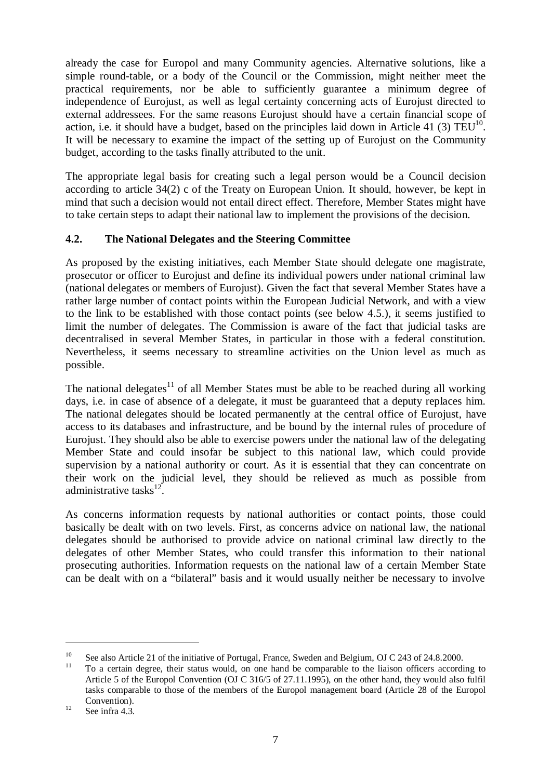already the case for Europol and many Community agencies. Alternative solutions, like a simple round-table, or a body of the Council or the Commission, might neither meet the practical requirements, nor be able to sufficiently guarantee a minimum degree of independence of Eurojust, as well as legal certainty concerning acts of Eurojust directed to external addressees. For the same reasons Eurojust should have a certain financial scope of action, i.e. it should have a budget, based on the principles laid down in Article 41 (3)  $TEU^{10}$ . It will be necessary to examine the impact of the setting up of Eurojust on the Community budget, according to the tasks finally attributed to the unit.

The appropriate legal basis for creating such a legal person would be a Council decision according to article 34(2) c of the Treaty on European Union. It should, however, be kept in mind that such a decision would not entail direct effect. Therefore, Member States might have to take certain steps to adapt their national law to implement the provisions of the decision.

## **4.2. The National Delegates and the Steering Committee**

As proposed by the existing initiatives, each Member State should delegate one magistrate, prosecutor or officer to Eurojust and define its individual powers under national criminal law (national delegates or members of Eurojust). Given the fact that several Member States have a rather large number of contact points within the European Judicial Network, and with a view to the link to be established with those contact points (see below 4.5.), it seems justified to limit the number of delegates. The Commission is aware of the fact that judicial tasks are decentralised in several Member States, in particular in those with a federal constitution. Nevertheless, it seems necessary to streamline activities on the Union level as much as possible.

The national delegates<sup>11</sup> of all Member States must be able to be reached during all working days, i.e. in case of absence of a delegate, it must be guaranteed that a deputy replaces him. The national delegates should be located permanently at the central office of Eurojust, have access to its databases and infrastructure, and be bound by the internal rules of procedure of Eurojust. They should also be able to exercise powers under the national law of the delegating Member State and could insofar be subject to this national law, which could provide supervision by a national authority or court. As it is essential that they can concentrate on their work on the judicial level, they should be relieved as much as possible from administrative tasks<sup>12</sup>

As concerns information requests by national authorities or contact points, those could basically be dealt with on two levels. First, as concerns advice on national law, the national delegates should be authorised to provide advice on national criminal law directly to the delegates of other Member States, who could transfer this information to their national prosecuting authorities. Information requests on the national law of a certain Member State can be dealt with on a "bilateral" basis and it would usually neither be necessary to involve

<sup>&</sup>lt;sup>10</sup> See also Article 21 of the initiative of Portugal, France, Sweden and Belgium, OJ C 243 of 24.8.2000.<br><sup>11</sup> To a certain degree, their status would, on one hand be comparable to the liaison officers according to

Article 5 of the Europol Convention (OJ C 316/5 of 27.11.1995), on the other hand, they would also fulfil tasks comparable to those of the members of the Europol management board (Article 28 of the Europol

Convention).<br><sup>12</sup> See infra 4.3.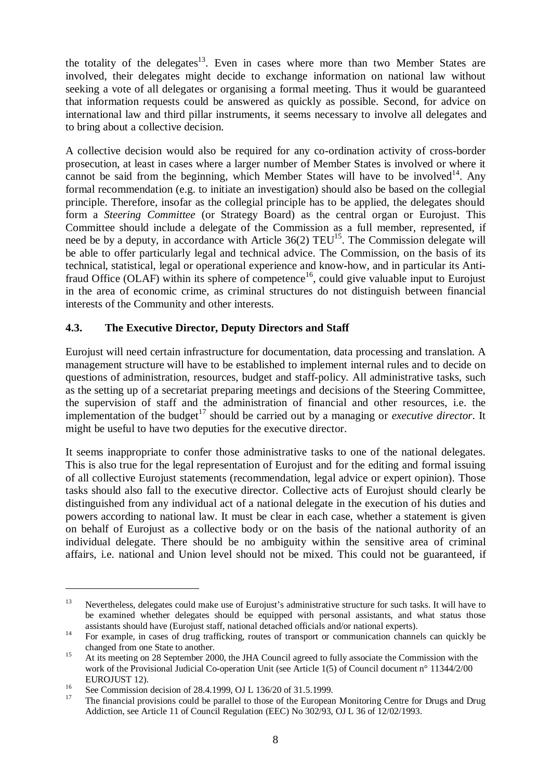the totality of the delegates<sup>13</sup>. Even in cases where more than two Member States are involved, their delegates might decide to exchange information on national law without seeking a vote of all delegates or organising a formal meeting. Thus it would be guaranteed that information requests could be answered as quickly as possible. Second, for advice on international law and third pillar instruments, it seems necessary to involve all delegates and to bring about a collective decision.

A collective decision would also be required for any co-ordination activity of cross-border prosecution, at least in cases where a larger number of Member States is involved or where it cannot be said from the beginning, which Member States will have to be involved<sup>14</sup>. Any formal recommendation (e.g. to initiate an investigation) should also be based on the collegial principle. Therefore, insofar as the collegial principle has to be applied, the delegates should form a *Steering Committee* (or Strategy Board) as the central organ or Eurojust. This Committee should include a delegate of the Commission as a full member, represented, if need be by a deputy, in accordance with Article  $36(2)$  TEU<sup>15</sup>. The Commission delegate will be able to offer particularly legal and technical advice. The Commission, on the basis of its technical, statistical, legal or operational experience and know-how, and in particular its Antifraud Office (OLAF) within its sphere of competence<sup>16</sup>, could give valuable input to Eurojust in the area of economic crime, as criminal structures do not distinguish between financial interests of the Community and other interests.

# **4.3. The Executive Director, Deputy Directors and Staff**

Eurojust will need certain infrastructure for documentation, data processing and translation. A management structure will have to be established to implement internal rules and to decide on questions of administration, resources, budget and staff-policy. All administrative tasks, such as the setting up of a secretariat preparing meetings and decisions of the Steering Committee, the supervision of staff and the administration of financial and other resources, i.e. the implementation of the budget<sup>17</sup> should be carried out by a managing or *executive director*. It might be useful to have two deputies for the executive director.

It seems inappropriate to confer those administrative tasks to one of the national delegates. This is also true for the legal representation of Eurojust and for the editing and formal issuing of all collective Eurojust statements (recommendation, legal advice or expert opinion). Those tasks should also fall to the executive director. Collective acts of Eurojust should clearly be distinguished from any individual act of a national delegate in the execution of his duties and powers according to national law. It must be clear in each case, whether a statement is given on behalf of Eurojust as a collective body or on the basis of the national authority of an individual delegate. There should be no ambiguity within the sensitive area of criminal affairs, i.e. national and Union level should not be mixed. This could not be guaranteed, if

<sup>&</sup>lt;sup>13</sup> Nevertheless, delegates could make use of Eurojust's administrative structure for such tasks. It will have to be examined whether delegates should be equipped with personal assistants, and what status those assistants should have (Eurojust staff, national detached officials and/or national experts).<br><sup>14</sup> For example, in cases of drug trafficking, routes of transport or communication channels can quickly be

changed from one State to another.<br>
At its meeting on 28 September 2000, the JHA Council agreed to fully associate the Commission with the work of the Provisional Judicial Co-operation Unit (see Article 1(5) of Council document n° 11344/2/00

EUROJUST 12).<br><sup>16</sup> See Commission decision of 28.4.1999, OJ L 136/20 of 31.5.1999.<br><sup>17</sup> The financial provisions could be parallel to those of the European Monitoring Centre for Drugs and Drug Addiction, see Article 11 of Council Regulation (EEC) No 302/93, OJ L 36 of 12/02/1993.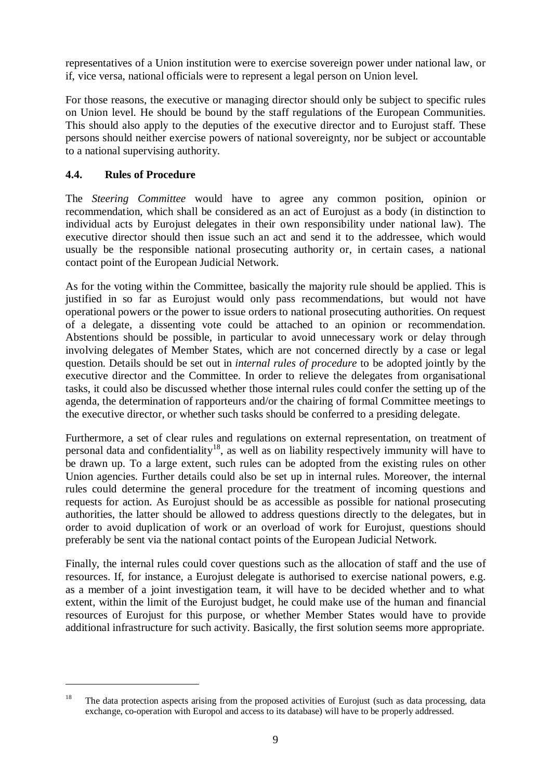representatives of a Union institution were to exercise sovereign power under national law, or if, vice versa, national officials were to represent a legal person on Union level.

For those reasons, the executive or managing director should only be subject to specific rules on Union level. He should be bound by the staff regulations of the European Communities. This should also apply to the deputies of the executive director and to Eurojust staff. These persons should neither exercise powers of national sovereignty, nor be subject or accountable to a national supervising authority.

## **4.4. Rules of Procedure**

The *Steering Committee* would have to agree any common position, opinion or recommendation, which shall be considered as an act of Eurojust as a body (in distinction to individual acts by Eurojust delegates in their own responsibility under national law). The executive director should then issue such an act and send it to the addressee, which would usually be the responsible national prosecuting authority or, in certain cases, a national contact point of the European Judicial Network.

As for the voting within the Committee, basically the majority rule should be applied. This is justified in so far as Eurojust would only pass recommendations, but would not have operational powers or the power to issue orders to national prosecuting authorities. On request of a delegate, a dissenting vote could be attached to an opinion or recommendation. Abstentions should be possible, in particular to avoid unnecessary work or delay through involving delegates of Member States, which are not concerned directly by a case or legal question. Details should be set out in *internal rules of procedure* to be adopted jointly by the executive director and the Committee. In order to relieve the delegates from organisational tasks, it could also be discussed whether those internal rules could confer the setting up of the agenda, the determination of rapporteurs and/or the chairing of formal Committee meetings to the executive director, or whether such tasks should be conferred to a presiding delegate.

Furthermore, a set of clear rules and regulations on external representation, on treatment of personal data and confidentiality<sup>18</sup>, as well as on liability respectively immunity will have to be drawn up. To a large extent, such rules can be adopted from the existing rules on other Union agencies. Further details could also be set up in internal rules. Moreover, the internal rules could determine the general procedure for the treatment of incoming questions and requests for action. As Eurojust should be as accessible as possible for national prosecuting authorities, the latter should be allowed to address questions directly to the delegates, but in order to avoid duplication of work or an overload of work for Eurojust, questions should preferably be sent via the national contact points of the European Judicial Network.

Finally, the internal rules could cover questions such as the allocation of staff and the use of resources. If, for instance, a Eurojust delegate is authorised to exercise national powers, e.g. as a member of a joint investigation team, it will have to be decided whether and to what extent, within the limit of the Eurojust budget, he could make use of the human and financial resources of Eurojust for this purpose, or whether Member States would have to provide additional infrastructure for such activity. Basically, the first solution seems more appropriate.

<sup>&</sup>lt;sup>18</sup> The data protection aspects arising from the proposed activities of Eurojust (such as data processing, data exchange, co-operation with Europol and access to its database) will have to be properly addressed.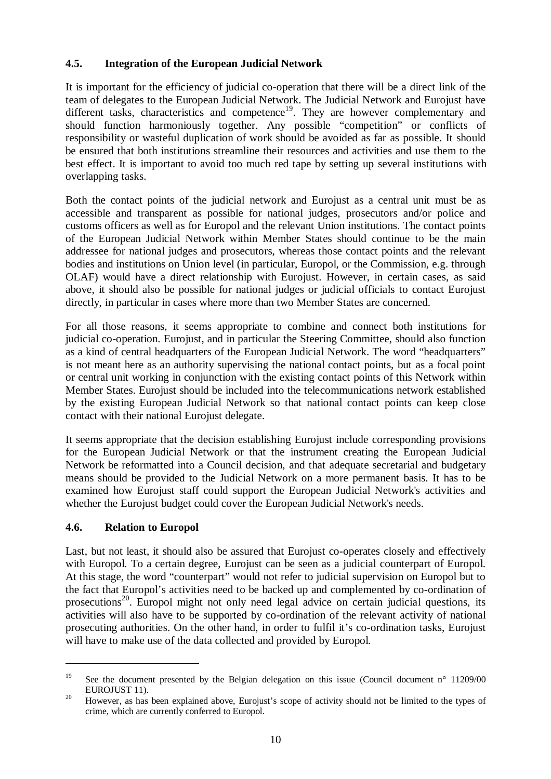## **4.5. Integration of the European Judicial Network**

It is important for the efficiency of judicial co-operation that there will be a direct link of the team of delegates to the European Judicial Network. The Judicial Network and Eurojust have different tasks, characteristics and competence<sup>19</sup>. They are however complementary and should function harmoniously together. Any possible "competition" or conflicts of responsibility or wasteful duplication of work should be avoided as far as possible. It should be ensured that both institutions streamline their resources and activities and use them to the best effect. It is important to avoid too much red tape by setting up several institutions with overlapping tasks.

Both the contact points of the judicial network and Eurojust as a central unit must be as accessible and transparent as possible for national judges, prosecutors and/or police and customs officers as well as for Europol and the relevant Union institutions. The contact points of the European Judicial Network within Member States should continue to be the main addressee for national judges and prosecutors, whereas those contact points and the relevant bodies and institutions on Union level (in particular, Europol, or the Commission, e.g. through OLAF) would have a direct relationship with Eurojust. However, in certain cases, as said above, it should also be possible for national judges or judicial officials to contact Eurojust directly, in particular in cases where more than two Member States are concerned.

For all those reasons, it seems appropriate to combine and connect both institutions for judicial co-operation. Eurojust, and in particular the Steering Committee, should also function as a kind of central headquarters of the European Judicial Network. The word "headquarters" is not meant here as an authority supervising the national contact points, but as a focal point or central unit working in conjunction with the existing contact points of this Network within Member States. Eurojust should be included into the telecommunications network established by the existing European Judicial Network so that national contact points can keep close contact with their national Eurojust delegate.

It seems appropriate that the decision establishing Eurojust include corresponding provisions for the European Judicial Network or that the instrument creating the European Judicial Network be reformatted into a Council decision, and that adequate secretarial and budgetary means should be provided to the Judicial Network on a more permanent basis. It has to be examined how Eurojust staff could support the European Judicial Network's activities and whether the Eurojust budget could cover the European Judicial Network's needs.

#### **4.6. Relation to Europol**

Last, but not least, it should also be assured that Eurojust co-operates closely and effectively with Europol. To a certain degree, Eurojust can be seen as a judicial counterpart of Europol. At this stage, the word "counterpart" would not refer to judicial supervision on Europol but to the fact that Europol's activities need to be backed up and complemented by co-ordination of prosecutions<sup>20</sup>. Europol might not only need legal advice on certain judicial questions, its activities will also have to be supported by co-ordination of the relevant activity of national prosecuting authorities. On the other hand, in order to fulfil it's co-ordination tasks, Eurojust will have to make use of the data collected and provided by Europol.

<sup>&</sup>lt;sup>19</sup> See the document presented by the Belgian delegation on this issue (Council document n° 11209/00

EUROJUST 11).<br><sup>20</sup> However, as has been explained above, Eurojust's scope of activity should not be limited to the types of crime, which are currently conferred to Europol.